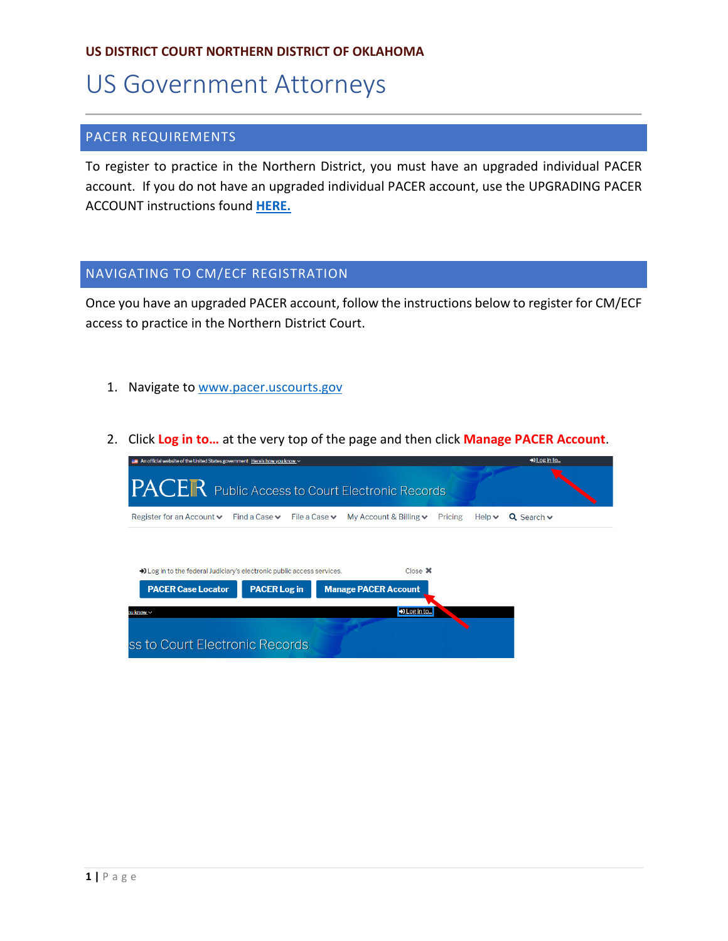## **US DISTRICT COURT NORTHERN DISTRICT OF OKLAHOMA**

# US Government Attorneys

## PACER REQUIREMENTS

To register to practice in the Northern District, you must have an upgraded individual PACER account. If you do not have an upgraded individual PACER account, use the UPGRADING PACER ACCOUNT instructions found **[HERE.](https://www.oknd.uscourts.gov/docs/020ac9a4-9f7d-4f7f-81ff-28da09f06bd4/Upgrade-Current-PACER-Account_OKND_031419.pdf)**

### NAVIGATING TO CM/ECF REGISTRATION

Once you have an upgraded PACER account, follow the instructions below to register for CM/ECF access to practice in the Northern District Court.

- 1. Navigate to [www.pacer.uscourts.gov](http://www.pacer.uscourts.gov/)
- 2. Click **Log in to…** at the very top of the page and then click **Manage PACER Account**.

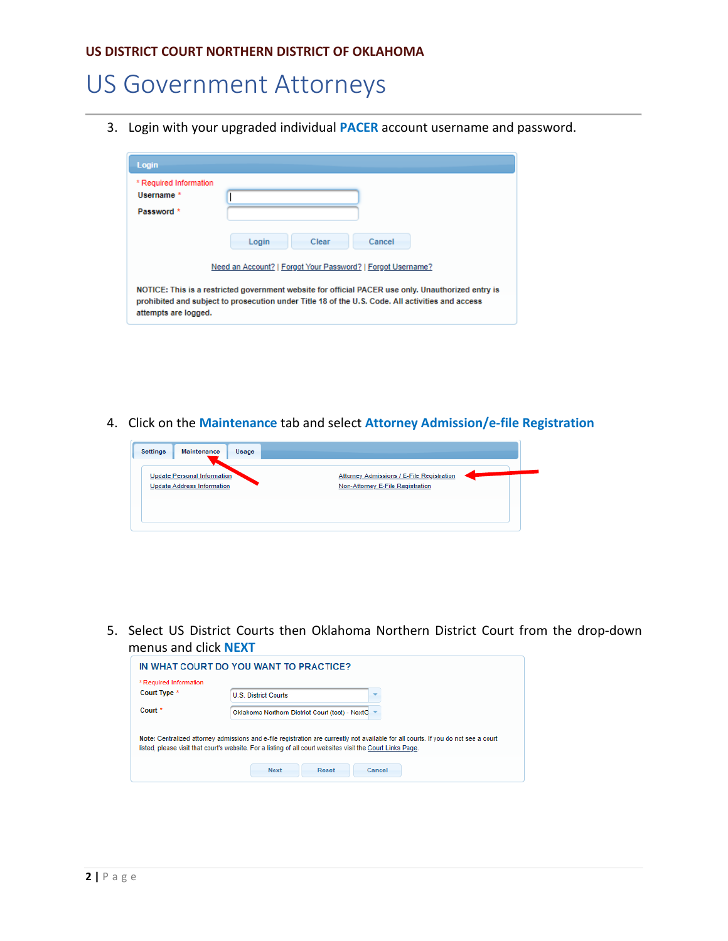# US Government Attorneys

3. Login with your upgraded individual **PACER** account username and password.

| Login                                              |                                                                                                                                                                                                        |
|----------------------------------------------------|--------------------------------------------------------------------------------------------------------------------------------------------------------------------------------------------------------|
| * Required Information<br>Username *<br>Password * |                                                                                                                                                                                                        |
|                                                    | Cancel<br>Login<br>Clear<br>Need an Account?   Forgot Your Password?   Forgot Username?                                                                                                                |
| attempts are logged.                               | NOTICE: This is a restricted government website for official PACER use only. Unauthorized entry is<br>prohibited and subject to prosecution under Title 18 of the U.S. Code. All activities and access |

4. Click on the **Maintenance** tab and select **Attorney Admission/e-file Registration**



5. Select US District Courts then Oklahoma Northern District Court from the drop-down menus and click **NEXT**

| * Required Information | IN WHAT COURT DO YOU WANT TO PRACTICE?                                                                                                                                                                                                            |
|------------------------|---------------------------------------------------------------------------------------------------------------------------------------------------------------------------------------------------------------------------------------------------|
| Court Type *           | <b>U.S. District Courts</b>                                                                                                                                                                                                                       |
| Court <sup>*</sup>     | Oklahoma Northern District Court (test) - NextG                                                                                                                                                                                                   |
|                        | Note: Centralized attorney admissions and e-file registration are currently not available for all courts. If you do not see a court<br>listed, please visit that court's website. For a listing of all court websites visit the Court Links Page. |
|                        | <b>Next</b><br>Cancel<br><b>Reset</b>                                                                                                                                                                                                             |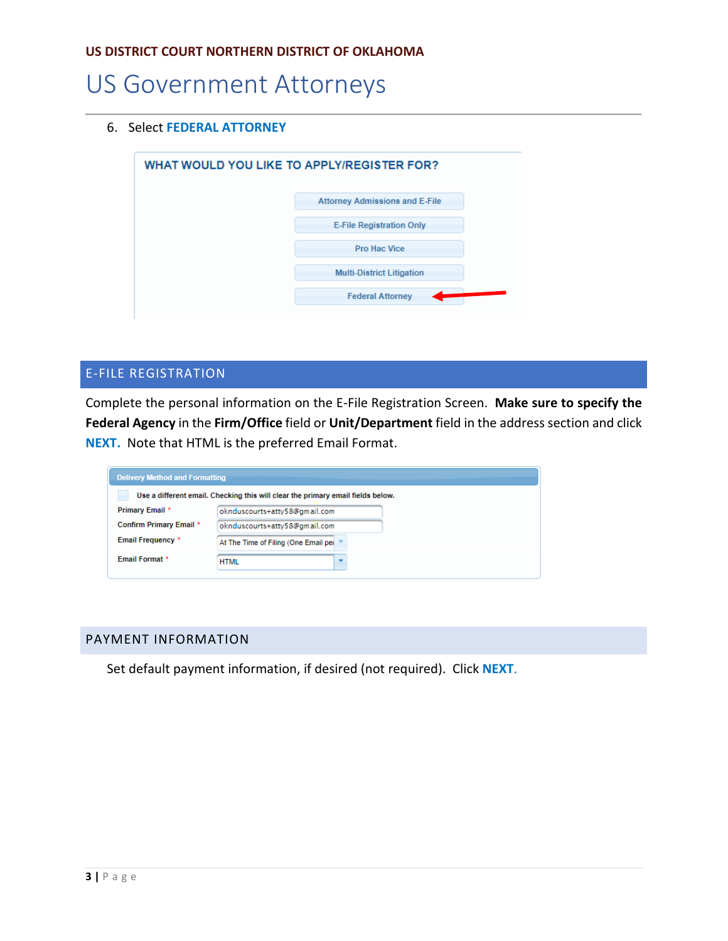## US Government Attorneys

### 6. Select **FEDERAL ATTORNEY**

| <b>Attorney Admissions and E-File</b><br><b>E-File Registration Only</b><br><b>Pro Hac Vice</b><br><b>Multi-District Litigation</b><br><b>Federal Attorney</b> | WHAT WOULD YOU LIKE TO APPLY/REGISTER FOR? |  |  |
|----------------------------------------------------------------------------------------------------------------------------------------------------------------|--------------------------------------------|--|--|
|                                                                                                                                                                |                                            |  |  |
|                                                                                                                                                                |                                            |  |  |
|                                                                                                                                                                |                                            |  |  |
|                                                                                                                                                                |                                            |  |  |
|                                                                                                                                                                |                                            |  |  |

## E-FILE REGISTRATION

Complete the personal information on the E-File Registration Screen. **Make sure to specify the Federal Agency** in the **Firm/Office** field or **Unit/Department** field in the address section and click **NEXT.** Note that HTML is the preferred Email Format.

| <b>Delivery Method and Formatting</b>                                           |                                      |  |  |  |
|---------------------------------------------------------------------------------|--------------------------------------|--|--|--|
| Use a different email. Checking this will clear the primary email fields below. |                                      |  |  |  |
| Primary Email *                                                                 | oknduscourts+atty58@gmail.com        |  |  |  |
| <b>Confirm Primary Email *</b>                                                  | oknduscourts+atty58@gmail.com        |  |  |  |
| <b>Email Frequency *</b>                                                        | At The Time of Filing (One Email per |  |  |  |
| <b>Email Format *</b>                                                           | <b>HTML</b>                          |  |  |  |

### PAYMENT INFORMATION

Set default payment information, if desired (not required). Click **NEXT**.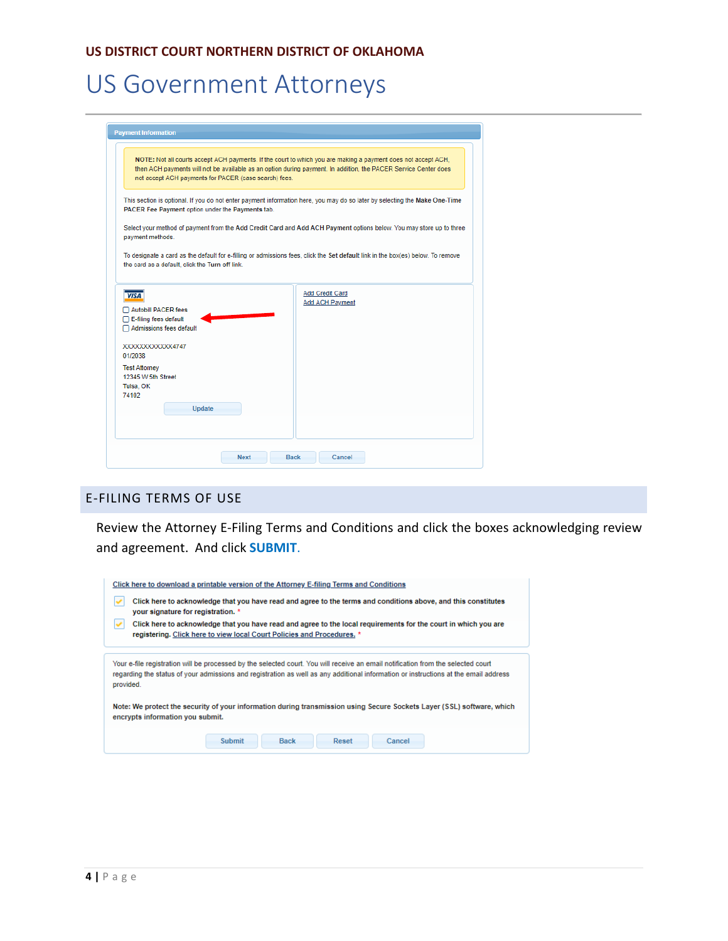### **US DISTRICT COURT NORTHERN DISTRICT OF OKLAHOMA**

# US Government Attorneys

|                                                           | NOTE: Not all courts accept ACH payments. If the court to which you are making a payment does not accept ACH,                   |
|-----------------------------------------------------------|---------------------------------------------------------------------------------------------------------------------------------|
| not accept ACH payments for PACER (case search) fees.     | then ACH payments will not be available as an option during payment. In addition, the PACER Service Center does                 |
| PACER Fee Payment option under the Payments tab.          | This section is optional. If you do not enter payment information here, you may do so later by selecting the Make One-Time      |
| payment methods.                                          | Select your method of payment from the Add Credit Card and Add ACH Payment options below. You may store up to three             |
| the card as a default, click the Turn off link.           | To designate a card as the default for e-filling or admissions fees, click the Set default link in the box(es) below. To remove |
|                                                           |                                                                                                                                 |
| <i><b>VISA</b></i>                                        | <b>Add Credit Card</b>                                                                                                          |
| <b>Autobill PACER fees</b><br>E-filing fees default       | <b>Add ACH Payment</b>                                                                                                          |
| Admissions fees default                                   |                                                                                                                                 |
|                                                           |                                                                                                                                 |
| XXXXXXXXXXXX4747<br>01/2038<br><b>Test Attorney</b>       |                                                                                                                                 |
|                                                           |                                                                                                                                 |
| 12345 W 5th Street<br>Tulsa, OK<br>74102<br><b>Update</b> |                                                                                                                                 |

## E-FILING TERMS OF USE

Review the Attorney E-Filing Terms and Conditions and click the boxes acknowledging review and agreement. And click **SUBMIT**.

| Click here to download a printable version of the Attorney E-filing Terms and Conditions<br>Click here to acknowledge that you have read and agree to the terms and conditions above, and this constitutes<br>your signature for registration. *                                     |  |  |  |  |  |
|--------------------------------------------------------------------------------------------------------------------------------------------------------------------------------------------------------------------------------------------------------------------------------------|--|--|--|--|--|
| Click here to acknowledge that you have read and agree to the local requirements for the court in which you are<br>registering. Click here to view local Court Policies and Procedures. *                                                                                            |  |  |  |  |  |
|                                                                                                                                                                                                                                                                                      |  |  |  |  |  |
| Your e-file registration will be processed by the selected court. You will receive an email notification from the selected court<br>regarding the status of your admissions and registration as well as any additional information or instructions at the email address<br>provided. |  |  |  |  |  |
| Note: We protect the security of your information during transmission using Secure Sockets Layer (SSL) software, which<br>encrypts information you submit.                                                                                                                           |  |  |  |  |  |
| <b>Submit</b><br><b>Back</b><br>Reset<br>Cancel                                                                                                                                                                                                                                      |  |  |  |  |  |